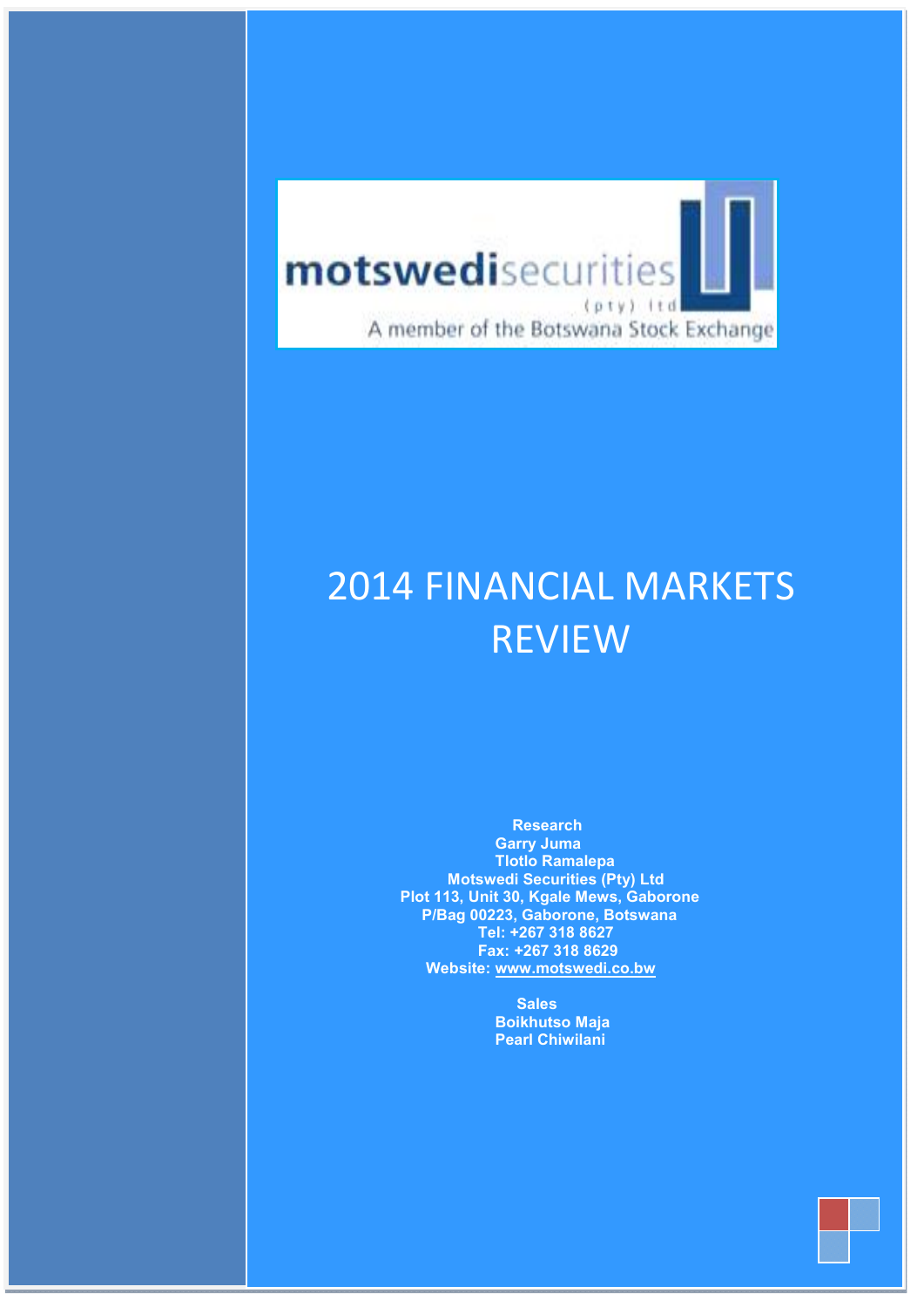

 $S_{\rm 201}$  affirms 2011 source in the source in the source in the source in the source in the source in the source in the source in the source in the source in the source in the source in the source in the source in the

July– Sep 2011

### ANICIAI NA 2014 FINANCIAL MARKETS PLOT 113, Unit 30, Kgale F V I F VV REVIEW

 Research Garry Juma Tlotlo Ramalepa Motswedi Securities (Pty) Ltd Plot 113, Unit 30, Kgale Mews, Gaborone P/Bag 00223, Gaborone, Botswana Tel: +267 318 8627 Fax: +267 318 8629 Website: www.motswedi.co.bw

> **Sales**  Boikhutso Maja Pearl Chiwilani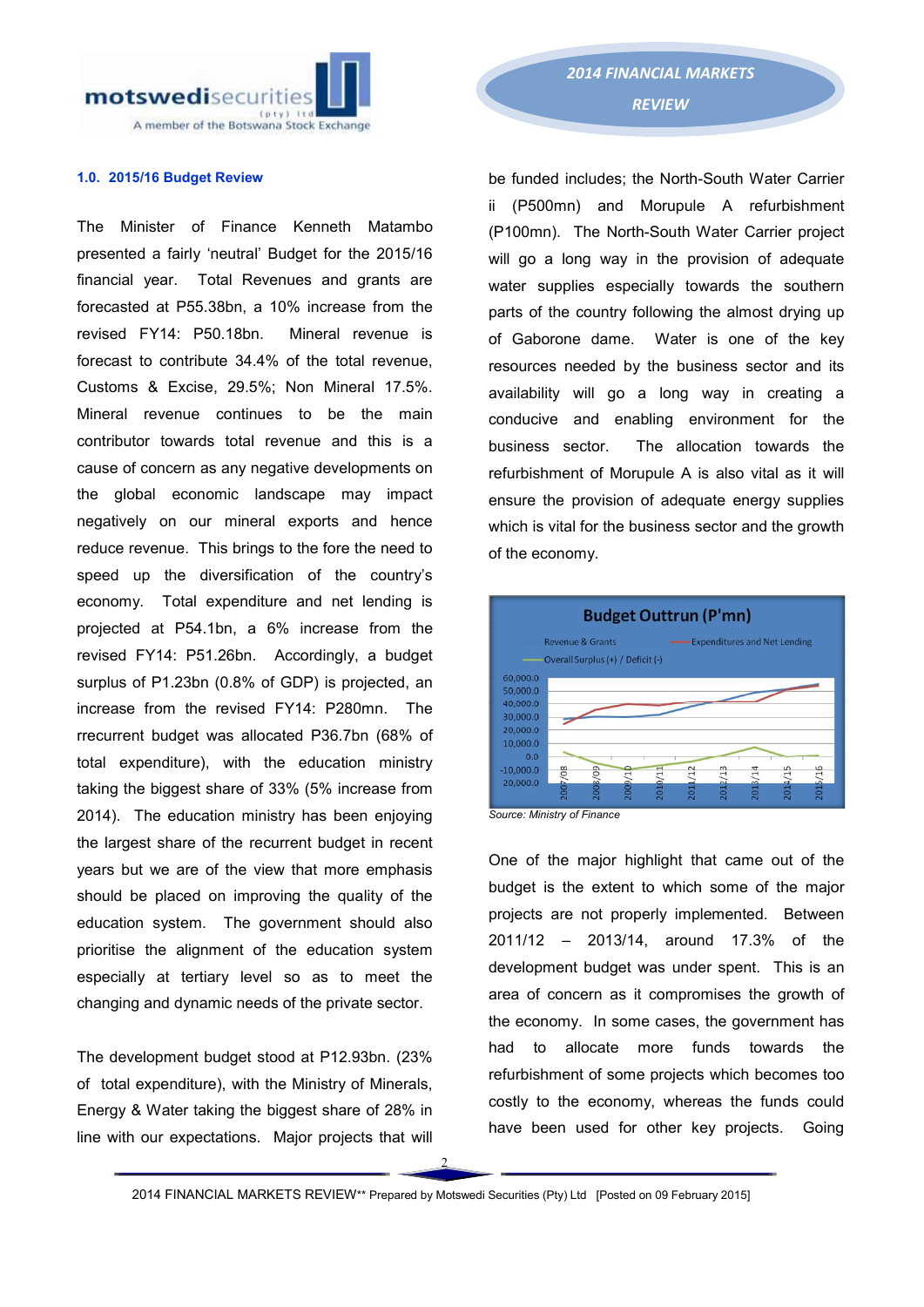motswedisecurities A member of the Botswana Stock Exchange

### 1.0. 2015/16 Budget Review

The Minister of Finance Kenneth Matambo presented a fairly 'neutral' Budget for the 2015/16 financial year. Total Revenues and grants are forecasted at P55.38bn, a 10% increase from the revised FY14: P50.18bn. Mineral revenue is forecast to contribute 34.4% of the total revenue, Customs & Excise, 29.5%; Non Mineral 17.5%. Mineral revenue continues to be the main contributor towards total revenue and this is a cause of concern as any negative developments on the global economic landscape may impact negatively on our mineral exports and hence reduce revenue. This brings to the fore the need to speed up the diversification of the country's economy. Total expenditure and net lending is projected at P54.1bn, a 6% increase from the revised FY14: P51.26bn. Accordingly, a budget surplus of P1.23bn (0.8% of GDP) is projected, an increase from the revised FY14: P280mn. The rrecurrent budget was allocated P36.7bn (68% of total expenditure), with the education ministry taking the biggest share of 33% (5% increase from 2014). The education ministry has been enjoying the largest share of the recurrent budget in recent years but we are of the view that more emphasis should be placed on improving the quality of the education system. The government should also prioritise the alignment of the education system especially at tertiary level so as to meet the changing and dynamic needs of the private sector.

The development budget stood at P12.93bn. (23% of total expenditure), with the Ministry of Minerals, Energy & Water taking the biggest share of 28% in line with our expectations. Major projects that will

be funded includes; the North-South Water Carrier ii (P500mn) and Morupule A refurbishment (P100mn). The North-South Water Carrier project will go a long way in the provision of adequate water supplies especially towards the southern parts of the country following the almost drying up of Gaborone dame. Water is one of the key resources needed by the business sector and its availability will go a long way in creating a conducive and enabling environment for the business sector. The allocation towards the refurbishment of Morupule A is also vital as it will ensure the provision of adequate energy supplies which is vital for the business sector and the growth of the economy.



*Source: Ministry of Finance*

One of the major highlight that came out of the budget is the extent to which some of the major projects are not properly implemented. Between 2011/12 – 2013/14, around 17.3% of the development budget was under spent. This is an area of concern as it compromises the growth of the economy. In some cases, the government has had to allocate more funds towards the refurbishment of some projects which becomes too costly to the economy, whereas the funds could have been used for other key projects. Going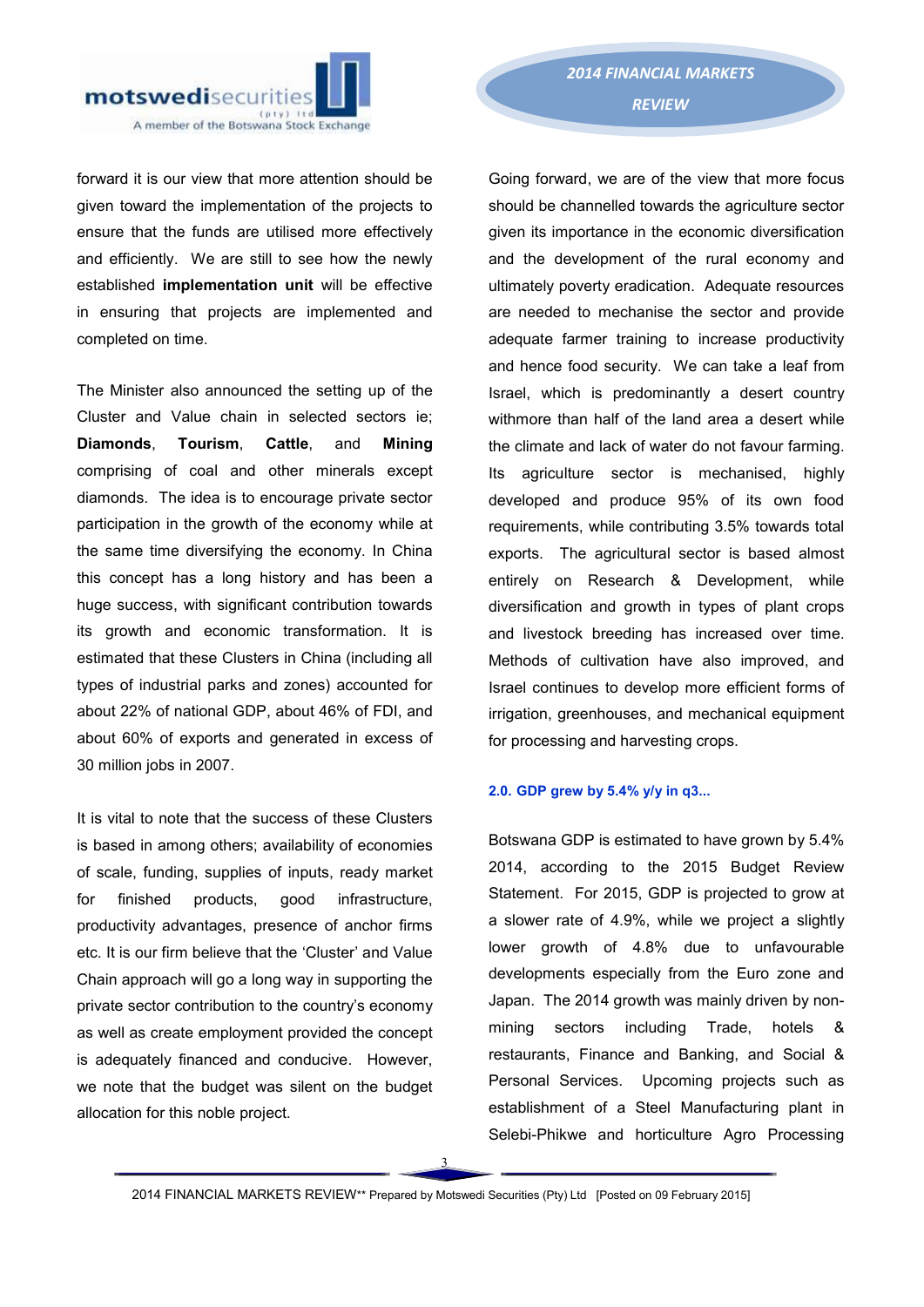

forward it is our view that more attention should be given toward the implementation of the projects to ensure that the funds are utilised more effectively and efficiently. We are still to see how the newly established implementation unit will be effective in ensuring that projects are implemented and completed on time.

The Minister also announced the setting up of the Cluster and Value chain in selected sectors ie; Diamonds, Tourism, Cattle, and Mining comprising of coal and other minerals except diamonds. The idea is to encourage private sector participation in the growth of the economy while at the same time diversifying the economy. In China this concept has a long history and has been a huge success, with significant contribution towards its growth and economic transformation. It is estimated that these Clusters in China (including all types of industrial parks and zones) accounted for about 22% of national GDP, about 46% of FDI, and about 60% of exports and generated in excess of 30 million jobs in 2007.

It is vital to note that the success of these Clusters is based in among others; availability of economies of scale, funding, supplies of inputs, ready market for finished products, good infrastructure, productivity advantages, presence of anchor firms etc. It is our firm believe that the 'Cluster' and Value Chain approach will go a long way in supporting the private sector contribution to the country's economy as well as create employment provided the concept is adequately financed and conducive. However, we note that the budget was silent on the budget allocation for this noble project.

Going forward, we are of the view that more focus should be channelled towards the agriculture sector given its importance in the economic diversification and the development of the rural economy and ultimately poverty eradication. Adequate resources are needed to mechanise the sector and provide adequate farmer training to increase productivity and hence food security. We can take a leaf from Israel, which is predominantly a desert country withmore than half of the land area a desert while the climate and lack of water do not favour farming. Its agriculture sector is mechanised, highly developed and produce 95% of its own food requirements, while contributing 3.5% towards total exports. The agricultural sector is based almost entirely on Research & Development, while diversification and growth in types of plant crops and livestock breeding has increased over time. Methods of cultivation have also improved, and Israel continues to develop more efficient forms of irrigation, greenhouses, and mechanical equipment for processing and harvesting crops.

### 2.0. GDP grew by 5.4% y/y in q3...

Botswana GDP is estimated to have grown by 5.4% 2014, according to the 2015 Budget Review Statement. For 2015, GDP is projected to grow at a slower rate of 4.9%, while we project a slightly lower growth of 4.8% due to unfavourable developments especially from the Euro zone and Japan. The 2014 growth was mainly driven by nonmining sectors including Trade, hotels & restaurants, Finance and Banking, and Social & Personal Services. Upcoming projects such as establishment of a Steel Manufacturing plant in Selebi-Phikwe and horticulture Agro Processing

3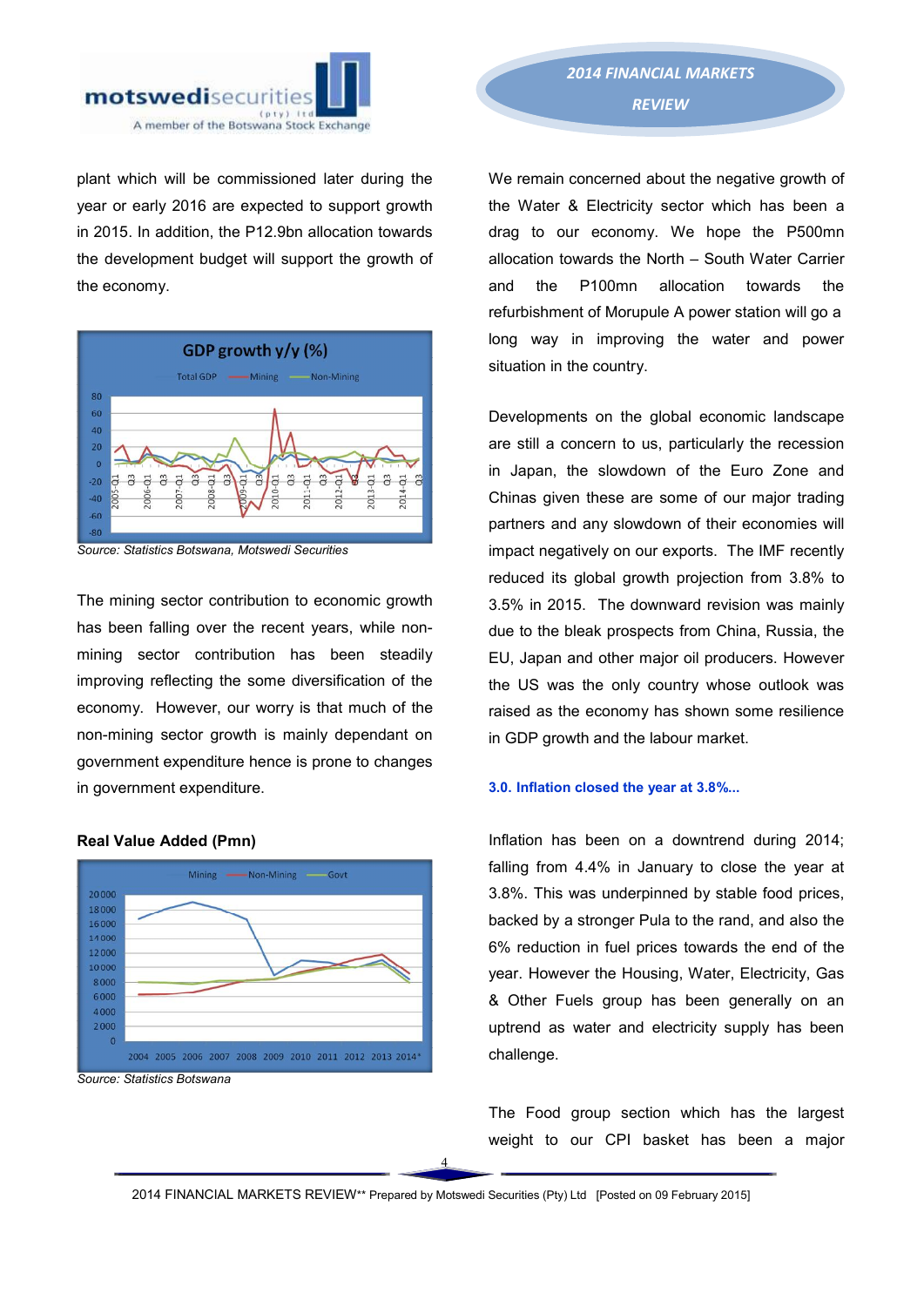

plant which will be commissioned later during the year or early 2016 are expected to support growth in 2015. In addition, the P12.9bn allocation towards the development budget will support the growth of the economy.



*Source: Statistics Botswana, Motswedi Securities*

The mining sector contribution to economic growth has been falling over the recent years, while nonmining sector contribution has been steadily improving reflecting the some diversification of the economy. However, our worry is that much of the non-mining sector growth is mainly dependant on government expenditure hence is prone to changes in government expenditure.



### Real Value Added (Pmn)

We remain concerned about the negative growth of the Water & Electricity sector which has been a drag to our economy. We hope the P500mn allocation towards the North – South Water Carrier and the P100mn allocation towards the refurbishment of Morupule A power station will go a long way in improving the water and power situation in the country.

Developments on the global economic landscape are still a concern to us, particularly the recession in Japan, the slowdown of the Euro Zone and Chinas given these are some of our major trading partners and any slowdown of their economies will impact negatively on our exports. The IMF recently reduced its global growth projection from 3.8% to 3.5% in 2015. The downward revision was mainly due to the bleak prospects from China, Russia, the EU, Japan and other major oil producers. However the US was the only country whose outlook was raised as the economy has shown some resilience in GDP growth and the labour market.

### 3.0. Inflation closed the year at 3.8%...

Inflation has been on a downtrend during 2014; falling from 4.4% in January to close the year at 3.8%. This was underpinned by stable food prices, backed by a stronger Pula to the rand, and also the 6% reduction in fuel prices towards the end of the year. However the Housing, Water, Electricity, Gas & Other Fuels group has been generally on an uptrend as water and electricity supply has been challenge.

The Food group section which has the largest weight to our CPI basket has been a major

2014 FINANCIAL MARKETS REVIEW\*\* Prepared by Motswedi Securities (Pty) Ltd [Posted on 09 February 2015]

4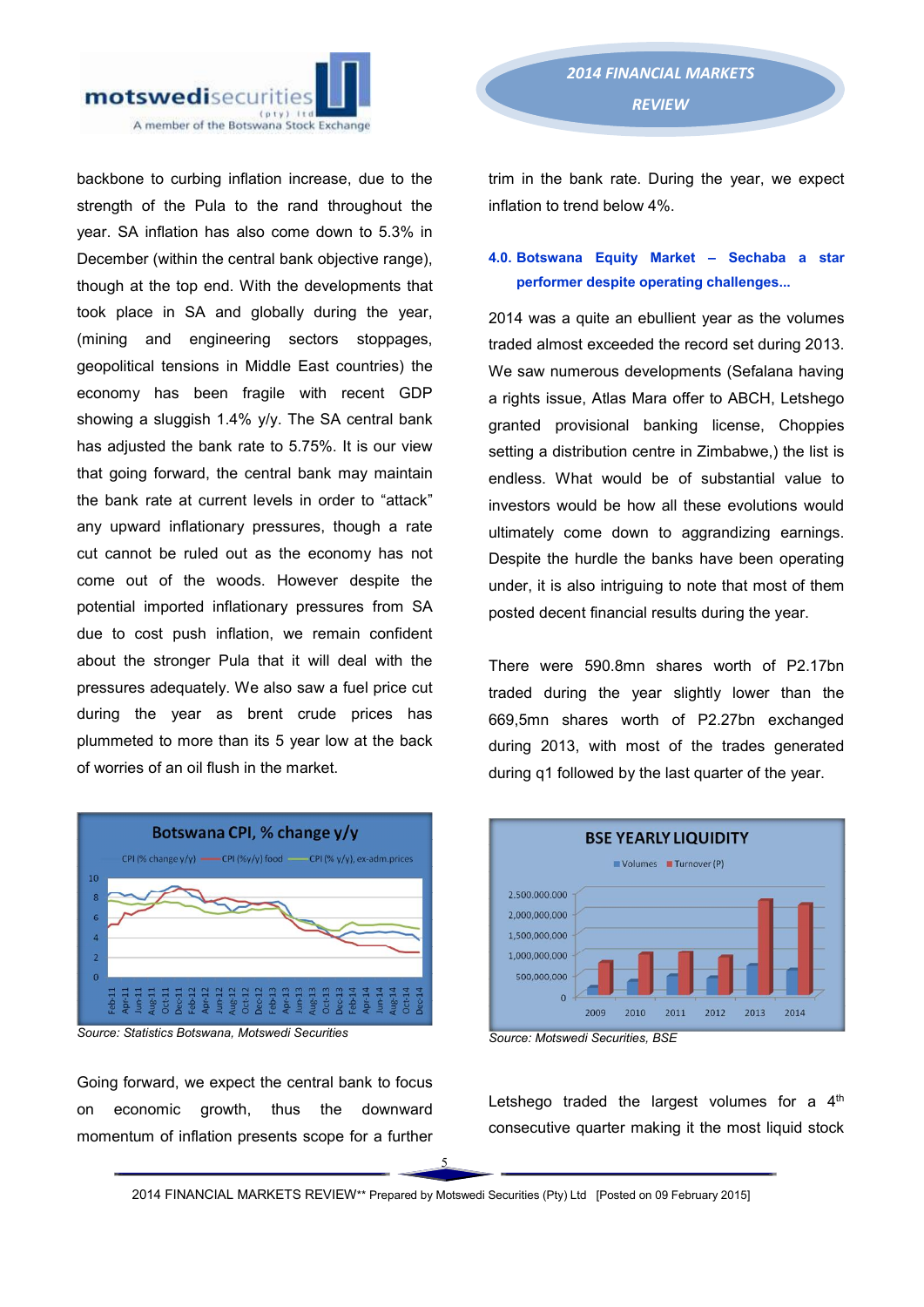

backbone to curbing inflation increase, due to the strength of the Pula to the rand throughout the year. SA inflation has also come down to 5.3% in December (within the central bank objective range), though at the top end. With the developments that took place in SA and globally during the year, (mining and engineering sectors stoppages, geopolitical tensions in Middle East countries) the economy has been fragile with recent GDP showing a sluggish 1.4% y/v. The SA central bank has adjusted the bank rate to 5.75%. It is our view that going forward, the central bank may maintain the bank rate at current levels in order to "attack" any upward inflationary pressures, though a rate cut cannot be ruled out as the economy has not come out of the woods. However despite the potential imported inflationary pressures from SA due to cost push inflation, we remain confident about the stronger Pula that it will deal with the pressures adequately. We also saw a fuel price cut during the year as brent crude prices has plummeted to more than its 5 year low at the back of worries of an oil flush in the market.



*Source: Statistics Botswana, Motswedi Securities*

Going forward, we expect the central bank to focus on economic growth, thus the downward momentum of inflation presents scope for a further

trim in the bank rate. During the year, we expect inflation to trend below 4%.

## 4.0. Botswana Equity Market – Sechaba a star performer despite operating challenges...

2014 was a quite an ebullient year as the volumes traded almost exceeded the record set during 2013. We saw numerous developments (Sefalana having a rights issue, Atlas Mara offer to ABCH, Letshego granted provisional banking license, Choppies setting a distribution centre in Zimbabwe,) the list is endless. What would be of substantial value to investors would be how all these evolutions would ultimately come down to aggrandizing earnings. Despite the hurdle the banks have been operating under, it is also intriguing to note that most of them posted decent financial results during the year.

There were 590.8mn shares worth of P2.17bn traded during the year slightly lower than the 669,5mn shares worth of P2.27bn exchanged during 2013, with most of the trades generated during q1 followed by the last quarter of the year.



*Source: Motswedi Securities, BSE* 

Letshego traded the largest volumes for a  $4<sup>th</sup>$ consecutive quarter making it the most liquid stock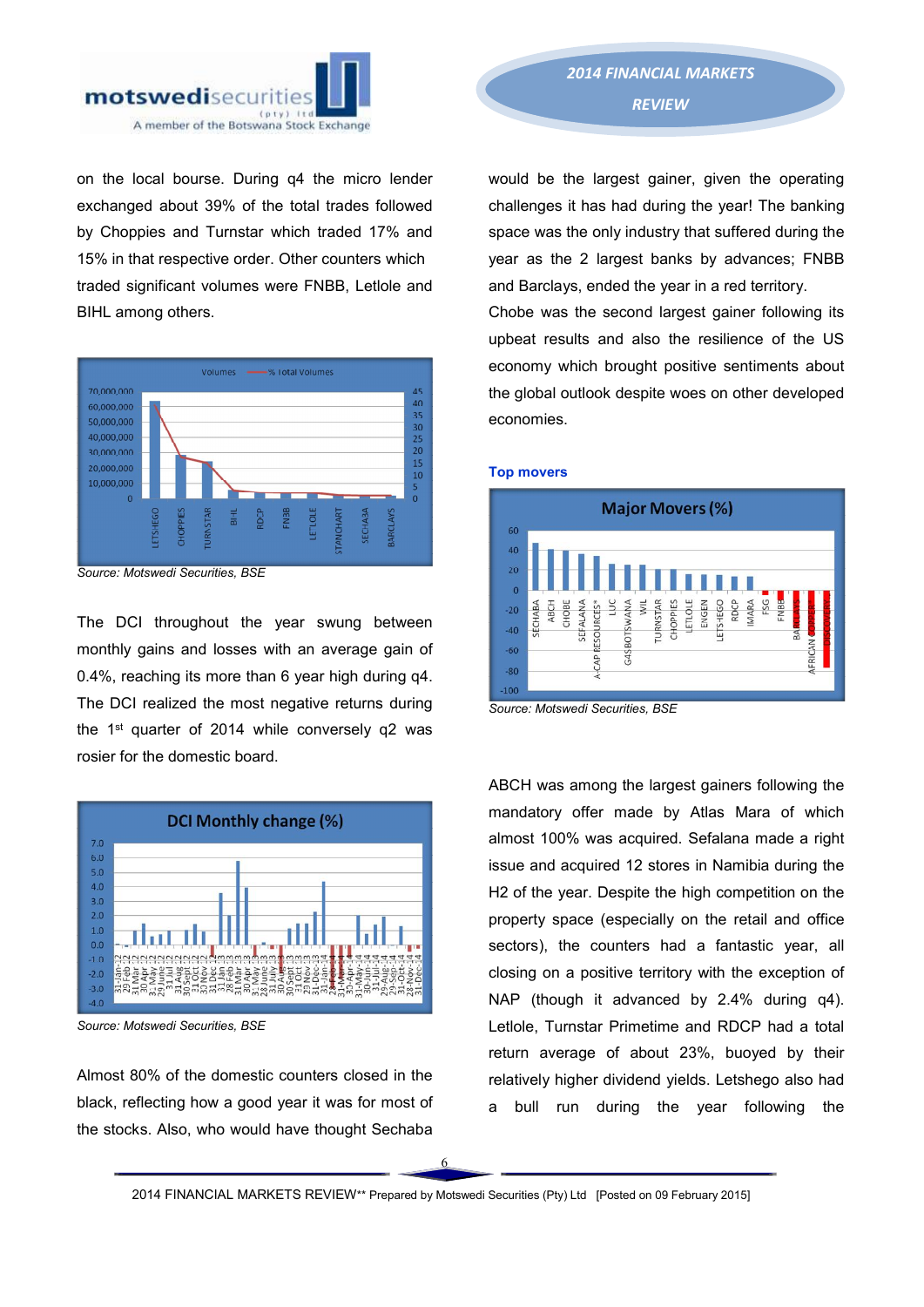

on the local bourse. During q4 the micro lender exchanged about 39% of the total trades followed by Choppies and Turnstar which traded 17% and 15% in that respective order. Other counters which traded significant volumes were FNBB, Letlole and BIHL among others.



*Source: Motswedi Securities, BSE* 

The DCI throughout the year swung between monthly gains and losses with an average gain of 0.4%, reaching its more than 6 year high during q4. The DCI realized the most negative returns during the 1<sup>st</sup> quarter of 2014 while conversely q2 was rosier for the domestic board.



*Source: Motswedi Securities, BSE* 

Almost 80% of the domestic counters closed in the black, reflecting how a good year it was for most of the stocks. Also, who would have thought Sechaba

would be the largest gainer, given the operating challenges it has had during the year! The banking space was the only industry that suffered during the year as the 2 largest banks by advances; FNBB and Barclays, ended the year in a red territory.

Chobe was the second largest gainer following its upbeat results and also the resilience of the US economy which brought positive sentiments about the global outlook despite woes on other developed economies.



*Source: Motswedi Securities, BSE*

Top movers

ABCH was among the largest gainers following the mandatory offer made by Atlas Mara of which almost 100% was acquired. Sefalana made a right issue and acquired 12 stores in Namibia during the H2 of the year. Despite the high competition on the property space (especially on the retail and office sectors), the counters had a fantastic year, all closing on a positive territory with the exception of NAP (though it advanced by 2.4% during q4). Letlole, Turnstar Primetime and RDCP had a total return average of about 23%, buoyed by their relatively higher dividend yields. Letshego also had a bull run during the year following the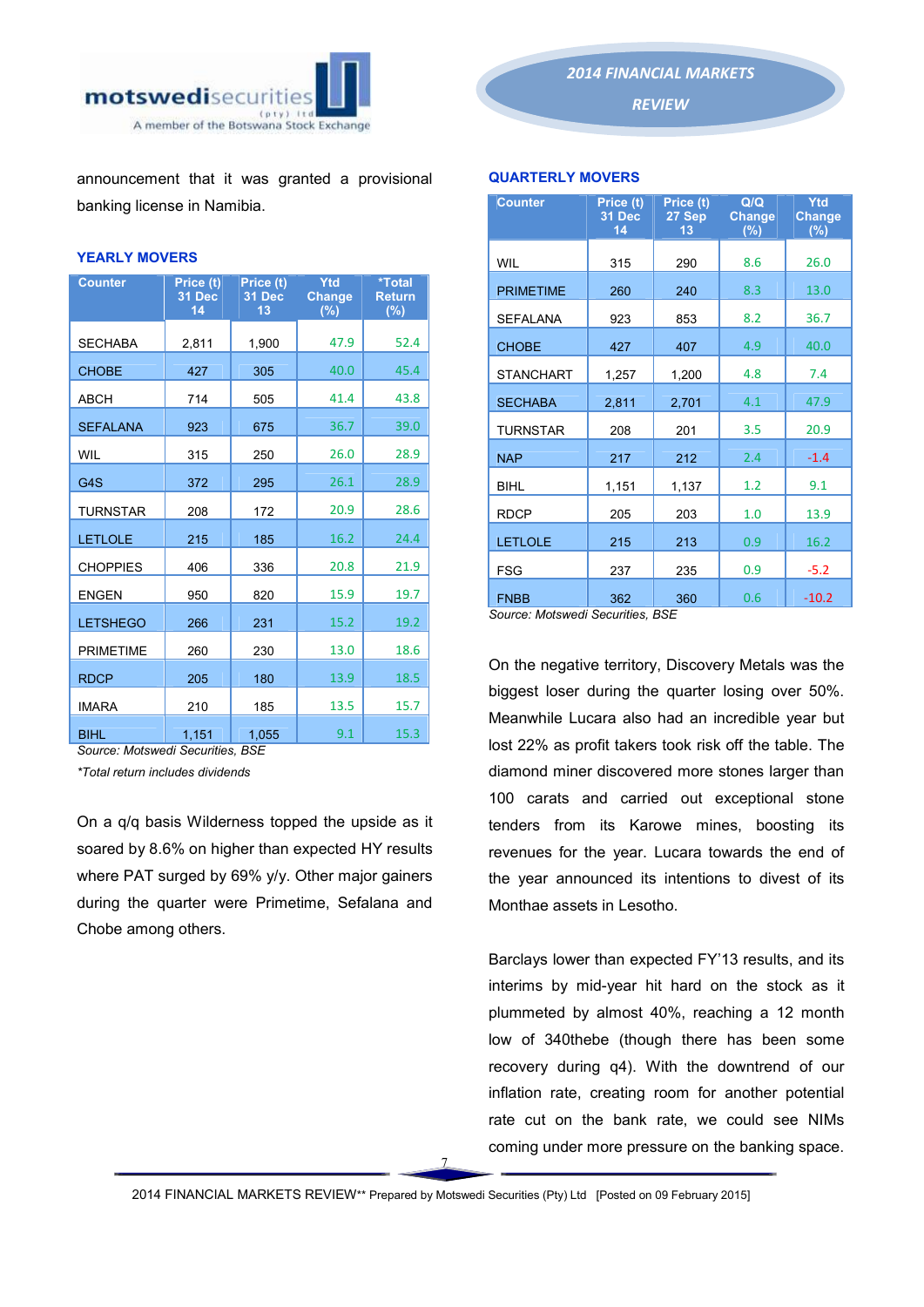

announcement that it was granted a provisional banking license in Namibia.

### YEARLY MOVERS

| <b>Counter</b>   | Price (t)<br>31 Dec<br>14 | Price (t)<br>31 Dec<br>13 | Ytd<br><b>Change</b><br>(%) | *Total<br><b>Return</b><br>(%) |
|------------------|---------------------------|---------------------------|-----------------------------|--------------------------------|
| <b>SECHABA</b>   | 2,811                     | 1,900                     | 47.9                        | 52.4                           |
| <b>CHOBE</b>     | 427                       | 305                       | 40.0                        | 45.4                           |
| <b>ABCH</b>      | 714                       | 505                       | 41.4                        | 43.8                           |
| <b>SEFALANA</b>  | 923                       | 675                       | 36.7                        | 39.0                           |
| WIL              | 315                       | 250                       | 26.0                        | 28.9                           |
| G4S              | 372                       | 295                       | 26.1                        | 28.9                           |
| <b>TURNSTAR</b>  | 208                       | 172                       | 20.9                        | 28.6                           |
| <b>LETLOLE</b>   | 215                       | 185                       | 16.2                        | 24.4                           |
| <b>CHOPPIES</b>  | 406                       | 336                       | 20.8                        | 21.9                           |
| <b>ENGEN</b>     | 950                       | 820                       | 15.9                        | 19.7                           |
| <b>LETSHEGO</b>  | 266                       | 231                       | 15.2                        | 19.2                           |
| <b>PRIMETIME</b> | 260                       | 230                       | 13.0                        | 18.6                           |
| <b>RDCP</b>      | 205                       | 180                       | 13.9                        | 18.5                           |
| <b>IMARA</b>     | 210                       | 185                       | 13.5                        | 15.7                           |
| <b>BIHL</b>      | 1,151                     | 1,055                     | 9.1                         | 15.3                           |

*Source: Motswedi Securities, BSE*

*\*Total return includes dividends*

On a q/q basis Wilderness topped the upside as it soared by 8.6% on higher than expected HY results where PAT surged by 69% y/v. Other major gainers during the quarter were Primetime, Sefalana and Chobe among others.



*REVIEW* 

### QUARTERLY MOVERS

| <b>Counter</b>   | Price (t)<br>31 Dec<br>14 | Price (t)<br>27 Sep<br>13 | Q/Q<br><b>Change</b><br>(%) | Ytd<br><u>Change</u><br>(%) |
|------------------|---------------------------|---------------------------|-----------------------------|-----------------------------|
| <b>WIL</b>       | 315                       | 290                       | 8.6                         | 26.0                        |
| <b>PRIMETIME</b> | 260                       | 240                       | 8.3                         | 13.0                        |
| <b>SEFALANA</b>  | 923                       | 853                       | 8.2                         | 36.7                        |
| <b>CHOBE</b>     | 427                       | 407                       | 4.9                         | 40.0                        |
| <b>STANCHART</b> | 1,257                     | 1,200                     | 4.8                         | 7.4                         |
| <b>SECHABA</b>   | 2,811                     | 2,701                     | 4.1                         | 47.9                        |
| <b>TURNSTAR</b>  | 208                       | 201                       | 3.5                         | 20.9                        |
| <b>NAP</b>       | 217                       | 212                       | 2.4                         | $-1.4$                      |
| <b>BIHL</b>      | 1,151                     | 1,137                     | 1.2                         | 9.1                         |
| <b>RDCP</b>      | 205                       | 203                       | 1.0                         | 13.9                        |
| <b>LETLOLE</b>   | 215                       | 213                       | 0.9                         | 16.2                        |
| <b>FSG</b>       | 237                       | 235                       | 0.9                         | $-5.2$                      |
| <b>FNBB</b>      | 362                       | 360                       | 0.6                         | $-10.2$                     |

*Source: Motswedi Securities, BSE*

On the negative territory, Discovery Metals was the biggest loser during the quarter losing over 50%. Meanwhile Lucara also had an incredible year but lost 22% as profit takers took risk off the table. The diamond miner discovered more stones larger than 100 carats and carried out exceptional stone tenders from its Karowe mines, boosting its revenues for the year. Lucara towards the end of the year announced its intentions to divest of its Monthae assets in Lesotho.

Barclays lower than expected FY'13 results, and its interims by mid-year hit hard on the stock as it plummeted by almost 40%, reaching a 12 month low of 340thebe (though there has been some recovery during q4). With the downtrend of our inflation rate, creating room for another potential rate cut on the bank rate, we could see NIMs coming under more pressure on the banking space.

7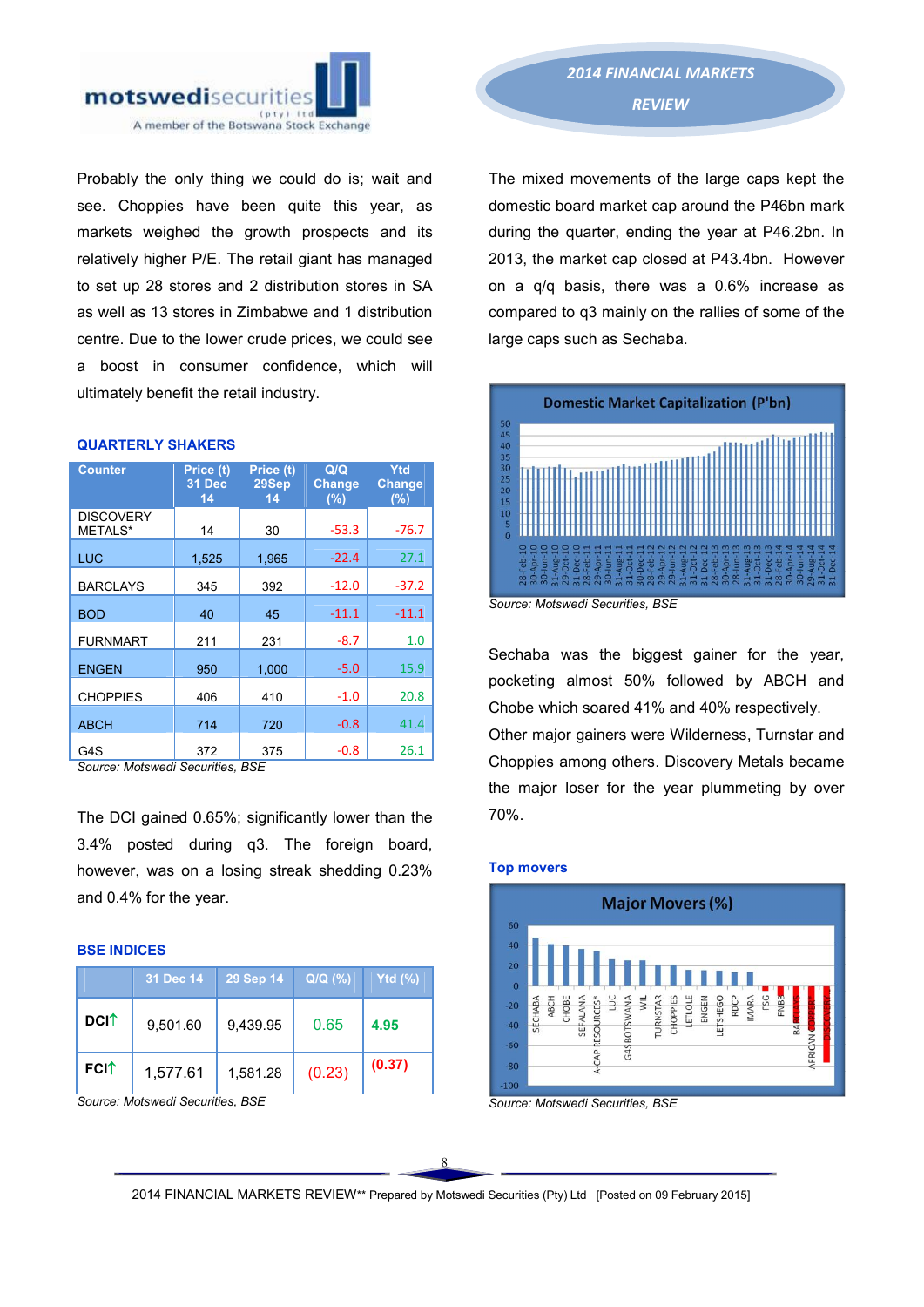

Probably the only thing we could do is; wait and see. Choppies have been quite this year, as markets weighed the growth prospects and its relatively higher P/E. The retail giant has managed to set up 28 stores and 2 distribution stores in SA as well as 13 stores in Zimbabwe and 1 distribution centre. Due to the lower crude prices, we could see a boost in consumer confidence, which will ultimately benefit the retail industry.

| <b>Counter</b>              | Price (t)<br>31 Dec<br>14 | Price (t)<br>29Sep<br>14 | Q/Q<br><b>Change</b><br>(%) | Ytd<br><b>Change</b><br>$(\%)$ |
|-----------------------------|---------------------------|--------------------------|-----------------------------|--------------------------------|
| <b>DISCOVERY</b><br>METALS* | 14                        | 30                       | $-53.3$                     | $-76.7$                        |
| <b>LUC</b>                  | 1,525                     | 1,965                    | $-22.4$                     | 27.1                           |
| <b>BARCLAYS</b>             | 345                       | 392                      | $-12.0$                     | $-37.2$                        |
| <b>BOD</b>                  | 40                        | 45                       | $-11.1$                     | $-11.1$                        |
| <b>FURNMART</b>             | 211                       | 231                      | $-8.7$                      | 1.0                            |
| <b>ENGEN</b>                | 950                       | 1,000                    | $-5.0$                      | 15.9                           |
| <b>CHOPPIES</b>             | 406                       | 410                      | $-1.0$                      | 20.8                           |
| <b>ABCH</b>                 | 714                       | 720                      | $-0.8$                      | 41.4                           |
| G4S                         | 372                       | 375                      | $-0.8$                      | 26.1                           |

### QUARTERLY SHAKERS

*Source: Motswedi Securities, BSE*

The DCI gained 0.65%; significantly lower than the 3.4% posted during q3. The foreign board, however, was on a losing streak shedding 0.23% and 0.4% for the year.

#### BSE INDICES

|                         | 31 Dec 14 | 29 Sep 14 | $Q/Q($ %) | Ytd $\overline{('')}$ |
|-------------------------|-----------|-----------|-----------|-----------------------|
| <b>DCI</b> <sup>↑</sup> | 9,501.60  | 9,439.95  | 0.65      | 4.95                  |
| <b>FCIT</b>             | 1,577.61  | 1,581.28  | (0.23)    | (0.37)                |

*Source: Motswedi Securities, BSE* 

The mixed movements of the large caps kept the domestic board market cap around the P46bn mark during the quarter, ending the year at P46.2bn. In 2013, the market cap closed at P43.4bn. However on a q/q basis, there was a 0.6% increase as compared to q3 mainly on the rallies of some of the large caps such as Sechaba.



*Source: Motswedi Securities, BSE* 

Sechaba was the biggest gainer for the year, pocketing almost 50% followed by ABCH and Chobe which soared 41% and 40% respectively.

Other major gainers were Wilderness, Turnstar and Choppies among others. Discovery Metals became the major loser for the year plummeting by over 70%.



*Source: Motswedi Securities, BSE*

Top movers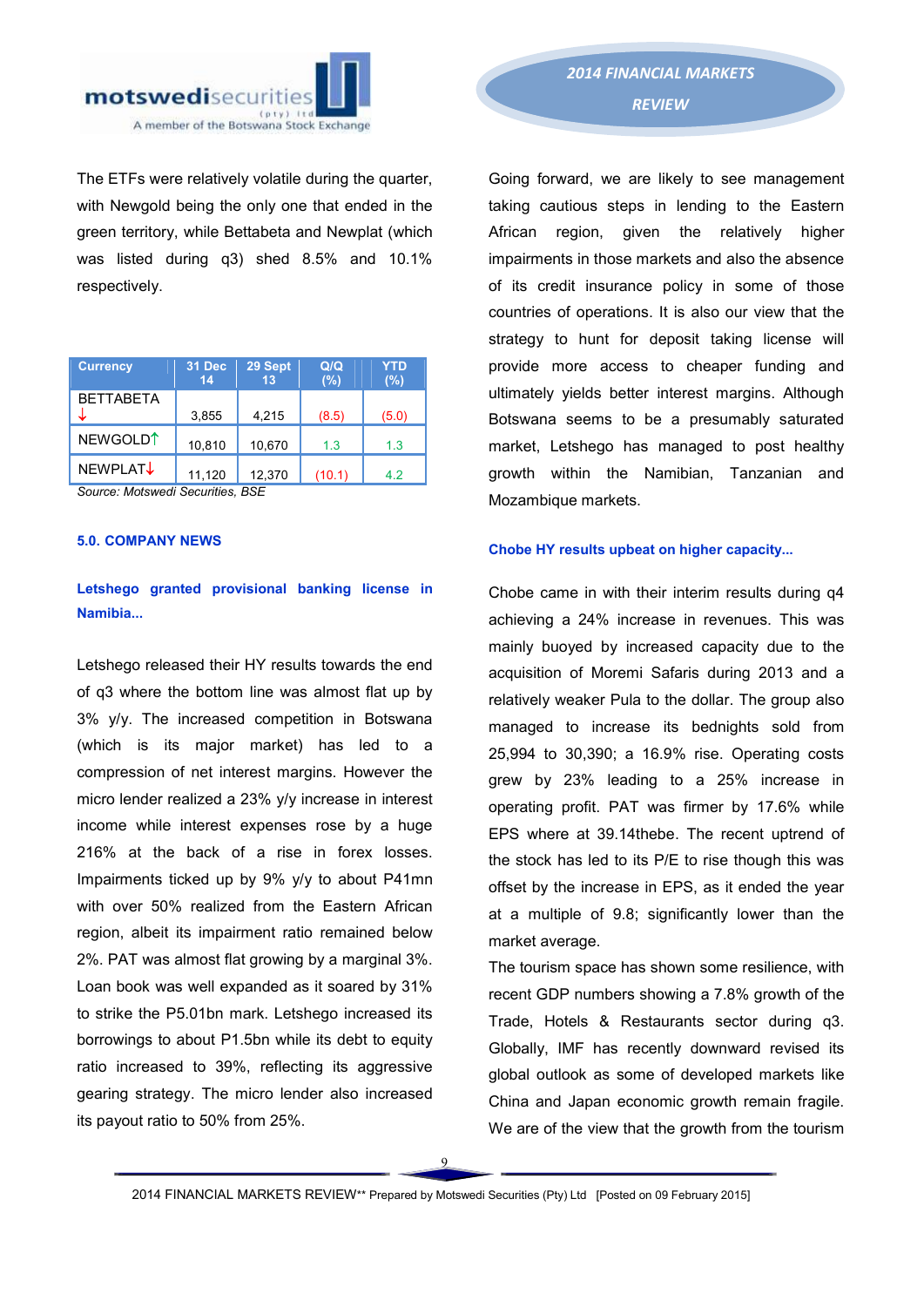

The ETFs were relatively volatile during the quarter, with Newgold being the only one that ended in the green territory, while Bettabeta and Newplat (which was listed during q3) shed 8.5% and 10.1% respectively.

| <b>Currency</b>      | 31 Dec<br>14 | 29 Sept<br>13 | Q/Q<br>(%) | <b>YTD</b><br>(%) |
|----------------------|--------------|---------------|------------|-------------------|
| <b>BETTABETA</b>     | 3,855        | 4,215         | (8.5)      | (5.0)             |
| NEWGOLD <sup>1</sup> | 10,810       | 10,670        | 1.3        | 1.3               |
| <b>NEWPLAT↓</b>      | 11,120       | 12,370        | (10.1)     | 4.2               |

*Source: Motswedi Securities, BSE* 

### 5.0. COMPANY NEWS

## Letshego granted provisional banking license in Namibia...

Letshego released their HY results towards the end of q3 where the bottom line was almost flat up by 3% y/y. The increased competition in Botswana (which is its major market) has led to a compression of net interest margins. However the micro lender realized a 23% y/y increase in interest income while interest expenses rose by a huge 216% at the back of a rise in forex losses. Impairments ticked up by 9% y/y to about P41mn with over 50% realized from the Eastern African region, albeit its impairment ratio remained below 2%. PAT was almost flat growing by a marginal 3%. Loan book was well expanded as it soared by 31% to strike the P5.01bn mark. Letshego increased its borrowings to about P1.5bn while its debt to equity ratio increased to 39%, reflecting its aggressive gearing strategy. The micro lender also increased its payout ratio to 50% from 25%.

Going forward, we are likely to see management taking cautious steps in lending to the Eastern African region, given the relatively higher impairments in those markets and also the absence of its credit insurance policy in some of those countries of operations. It is also our view that the strategy to hunt for deposit taking license will provide more access to cheaper funding and ultimately yields better interest margins. Although Botswana seems to be a presumably saturated market, Letshego has managed to post healthy growth within the Namibian, Tanzanian and Mozambique markets.

### Chobe HY results upbeat on higher capacity...

Chobe came in with their interim results during q4 achieving a 24% increase in revenues. This was mainly buoyed by increased capacity due to the acquisition of Moremi Safaris during 2013 and a relatively weaker Pula to the dollar. The group also managed to increase its bednights sold from 25,994 to 30,390; a 16.9% rise. Operating costs grew by 23% leading to a 25% increase in operating profit. PAT was firmer by 17.6% while EPS where at 39.14thebe. The recent uptrend of the stock has led to its P/E to rise though this was offset by the increase in EPS, as it ended the year at a multiple of 9.8; significantly lower than the market average.

The tourism space has shown some resilience, with recent GDP numbers showing a 7.8% growth of the Trade, Hotels & Restaurants sector during q3. Globally, IMF has recently downward revised its global outlook as some of developed markets like China and Japan economic growth remain fragile. We are of the view that the growth from the tourism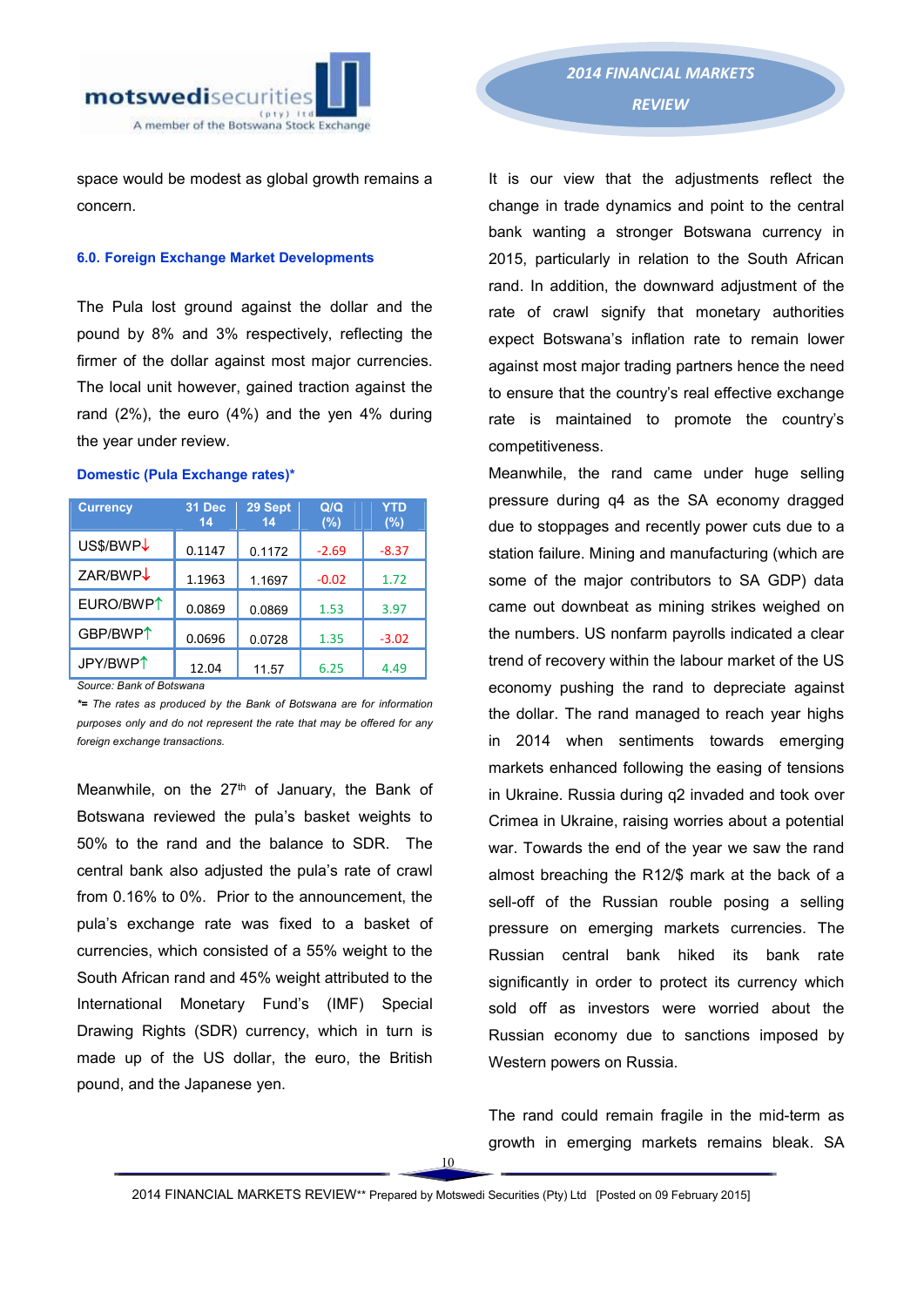

space would be modest as global growth remains a concern.

#### 6.0. Foreign Exchange Market Developments

The Pula lost ground against the dollar and the pound by 8% and 3% respectively, reflecting the firmer of the dollar against most major currencies. The local unit however, gained traction against the rand (2%), the euro (4%) and the yen 4% during the year under review.

#### Domestic (Pula Exchange rates)\*

| <b>Currency</b>       | 31 Dec<br>14 | 29 Sept<br>14 | Q/Q<br>(%) | <b>YTD</b><br>$(\%)$ |
|-----------------------|--------------|---------------|------------|----------------------|
| US\$/BWP↓             | 0.1147       | 0.1172        | $-2.69$    | $-8.37$              |
| ZAR/BWP $\downarrow$  | 1.1963       | 1.1697        | $-0.02$    | 1.72                 |
| EURO/BWP <sup>1</sup> | 0.0869       | 0.0869        | 1.53       | 3.97                 |
| GBP/BWP <sup>1</sup>  | 0.0696       | 0.0728        | 1.35       | $-3.02$              |
| JPY/BWP <sup>1</sup>  | 12.04        | 11.57         | 6.25       | 4.49                 |

*Source: Bank of Botswana* 

*\*= The rates as produced by the Bank of Botswana are for information purposes only and do not represent the rate that may be offered for any foreign exchange transactions.*

Meanwhile, on the  $27<sup>th</sup>$  of January, the Bank of Botswana reviewed the pula's basket weights to 50% to the rand and the balance to SDR. The central bank also adjusted the pula's rate of crawl from 0.16% to 0%. Prior to the announcement, the pula's exchange rate was fixed to a basket of currencies, which consisted of a 55% weight to the South African rand and 45% weight attributed to the International Monetary Fund's (IMF) Special Drawing Rights (SDR) currency, which in turn is made up of the US dollar, the euro, the British pound, and the Japanese yen.

# *2014 FINANCIAL MARKETS REVIEW*

It is our view that the adjustments reflect the change in trade dynamics and point to the central bank wanting a stronger Botswana currency in 2015, particularly in relation to the South African rand. In addition, the downward adjustment of the rate of crawl signify that monetary authorities expect Botswana's inflation rate to remain lower against most major trading partners hence the need to ensure that the country's real effective exchange rate is maintained to promote the country's competitiveness.

Meanwhile, the rand came under huge selling pressure during q4 as the SA economy dragged due to stoppages and recently power cuts due to a station failure. Mining and manufacturing (which are some of the major contributors to SA GDP) data came out downbeat as mining strikes weighed on the numbers. US nonfarm payrolls indicated a clear trend of recovery within the labour market of the US economy pushing the rand to depreciate against the dollar. The rand managed to reach year highs in 2014 when sentiments towards emerging markets enhanced following the easing of tensions in Ukraine. Russia during q2 invaded and took over Crimea in Ukraine, raising worries about a potential war. Towards the end of the year we saw the rand almost breaching the R12/\$ mark at the back of a sell-off of the Russian rouble posing a selling pressure on emerging markets currencies. The Russian central bank hiked its bank rate significantly in order to protect its currency which sold off as investors were worried about the Russian economy due to sanctions imposed by Western powers on Russia.

The rand could remain fragile in the mid-term as growth in emerging markets remains bleak. SA

10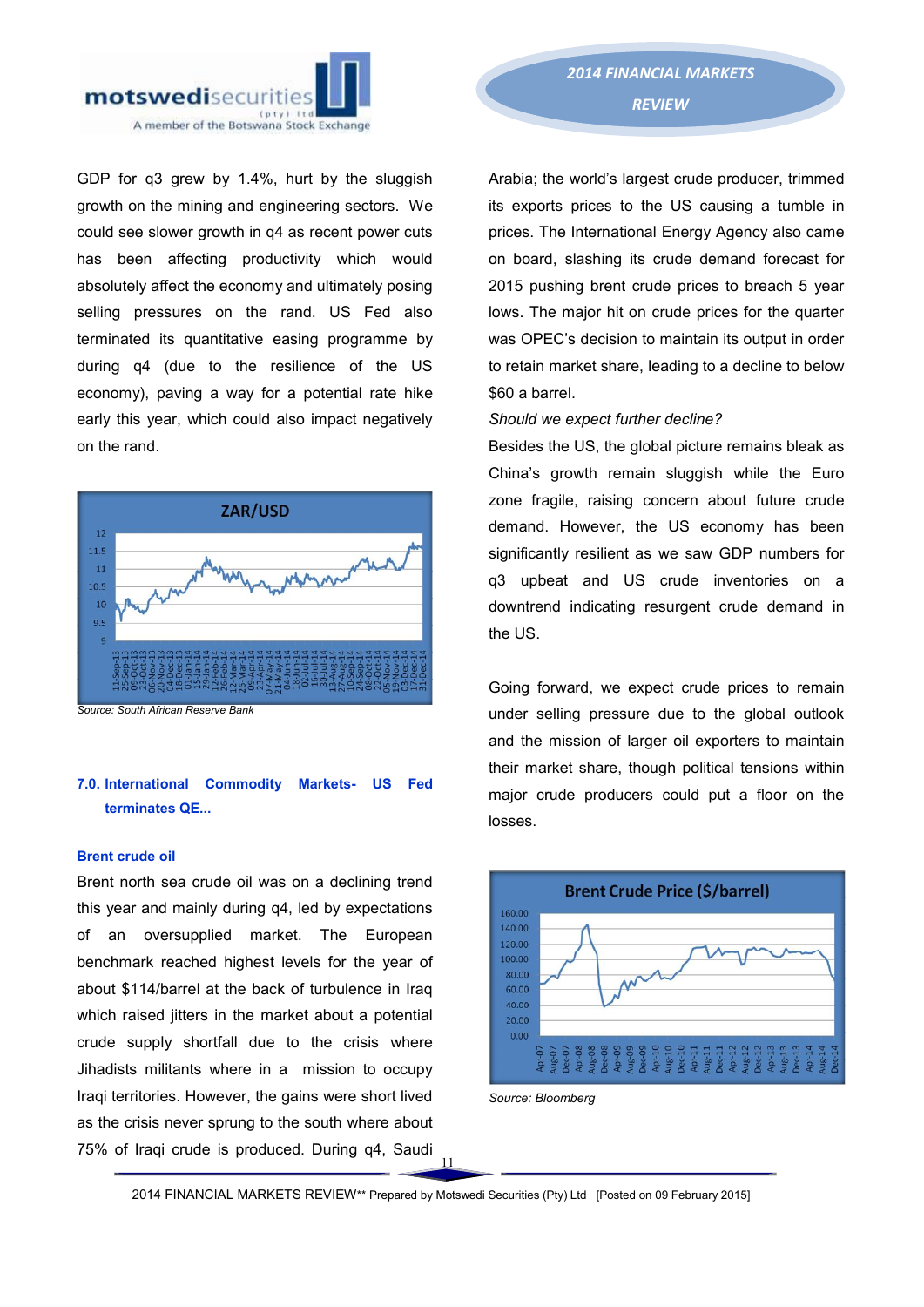

GDP for q3 grew by 1.4%, hurt by the sluggish growth on the mining and engineering sectors. We could see slower growth in q4 as recent power cuts has been affecting productivity which would absolutely affect the economy and ultimately posing selling pressures on the rand. US Fed also terminated its quantitative easing programme by during q4 (due to the resilience of the US economy), paving a way for a potential rate hike early this year, which could also impact negatively on the rand.



*Source: South African Reserve Bank*

### 7.0. International Commodity Markets- US Fed terminates QE...

#### Brent crude oil

Brent north sea crude oil was on a declining trend this year and mainly during q4, led by expectations of an oversupplied market. The European benchmark reached highest levels for the year of about \$114/barrel at the back of turbulence in Iraq which raised jitters in the market about a potential crude supply shortfall due to the crisis where Jihadists militants where in a mission to occupy Iraqi territories. However, the gains were short lived as the crisis never sprung to the south where about 75% of Iraqi crude is produced. During q4, Saudi

Arabia; the world's largest crude producer, trimmed its exports prices to the US causing a tumble in prices. The International Energy Agency also came on board, slashing its crude demand forecast for 2015 pushing brent crude prices to breach 5 year lows. The major hit on crude prices for the quarter was OPEC's decision to maintain its output in order to retain market share, leading to a decline to below \$60 a barrel.

### *Should we expect further decline?*

Besides the US, the global picture remains bleak as China's growth remain sluggish while the Euro zone fragile, raising concern about future crude demand. However, the US economy has been significantly resilient as we saw GDP numbers for q3 upbeat and US crude inventories on a downtrend indicating resurgent crude demand in the US.

Going forward, we expect crude prices to remain under selling pressure due to the global outlook and the mission of larger oil exporters to maintain their market share, though political tensions within major crude producers could put a floor on the losses.





 $\overline{11}$